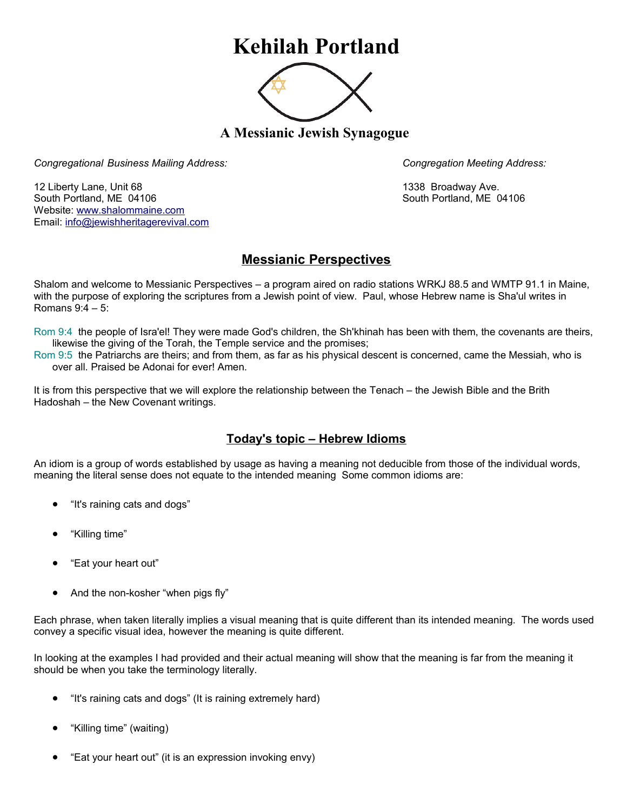## **Kehilah Portland**



**A Messianic Jewish Synagogue** 

*Congregational Business Mailing Address: Congregation Meeting Address:*

12 Liberty Lane, Unit 68 1338 Broadway Ave. South Portland, ME 04106 South Portland, ME 04106 Website: [www.shalommaine.com](http://www.shalommaine.com/) Email: [info@jewishheritagerevival.com](mailto:info@jewishheritagerevival.com) 

## **Messianic Perspectives**

Shalom and welcome to Messianic Perspectives – a program aired on radio stations WRKJ 88.5 and WMTP 91.1 in Maine, with the purpose of exploring the scriptures from a Jewish point of view. Paul, whose Hebrew name is Sha'ul writes in Romans 9:4 – 5:

Rom 9:4 the people of Isra'el! They were made God's children, the Sh'khinah has been with them, the covenants are theirs, likewise the giving of the Torah, the Temple service and the promises;

Rom 9:5 the Patriarchs are theirs; and from them, as far as his physical descent is concerned, came the Messiah, who is over all. Praised be Adonai for ever! Amen.

It is from this perspective that we will explore the relationship between the Tenach – the Jewish Bible and the Brith Hadoshah – the New Covenant writings.

## **Today's topic – Hebrew Idioms**

An idiom is a group of words established by usage as having a meaning not deducible from those of the individual words, meaning the literal sense does not equate to the intended meaning Some common idioms are:

- "It's raining cats and dogs"
- "Killing time"
- "Eat your heart out"
- And the non-kosher "when pigs fly"

Each phrase, when taken literally implies a visual meaning that is quite different than its intended meaning. The words used convey a specific visual idea, however the meaning is quite different.

In looking at the examples I had provided and their actual meaning will show that the meaning is far from the meaning it should be when you take the terminology literally.

- "It's raining cats and dogs" (It is raining extremely hard)
- "Killing time" (waiting)
- "Eat your heart out" (it is an expression invoking envy)